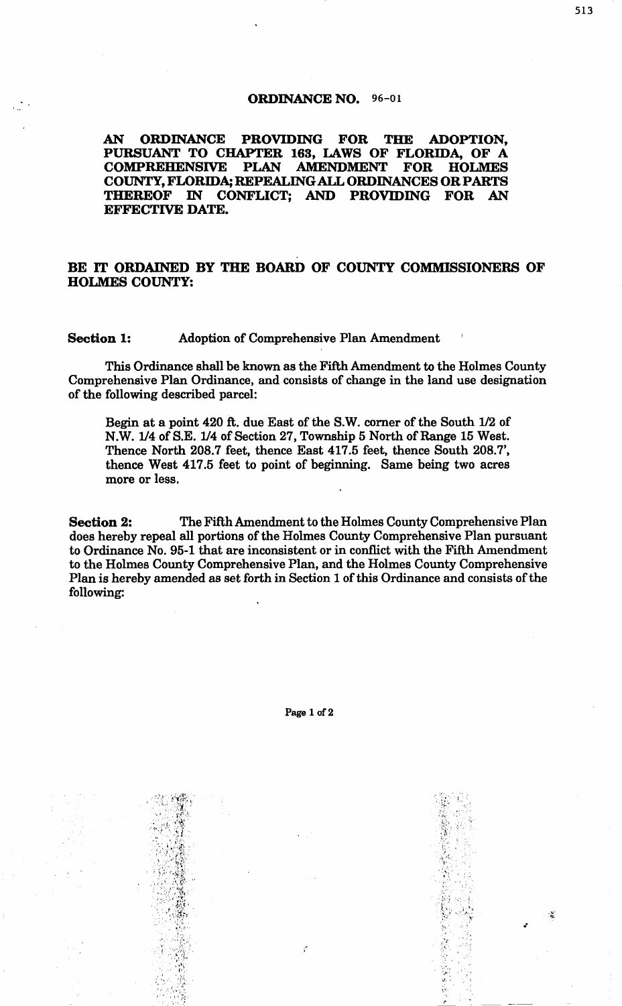## ORDINANCE NO. 96-01

AN ORDINANCE PROVIDING FOR THE ADOPTION, PURSUANT TO CHAPTER 163, LAWS OF FLORIDA, OF A COMPREHENSIVE PLAN AMENDMENT FOR HOLMES COUNTY, FLORIDA; REPEALING ALL ORDINANCES OR PARTS<br>THEREOF IN CONFLICT: AND PROVIDING FOR AN CONFLICT; AND PROVIDING FOR AN EFFECTIVE DATE.

## BE IT ORDAINED BY THE BOARD OF COUNTY COMMISSIONERS OF HOLMES COUNTY:

Section 1: Adoption of Comprehensive Plan Amendment

This Ordinance shall be known as the Fifth Amendment to the Holmes County Comprehensive Plan Ordinance, and consists of change in the land use designation of the following described parcel:

Begin at a point 420 ft. due East of the S.W. comer of the South 1/2 of N.W. 1/4 of S.E. 1/4 of Section 27, Township 5 North of Range 15 West. Thence North 208.7 feet, thence East 417.5 feet, thence South 208.7', thence West 417.5 feet to point of beginning. Same being two acres more or less.

Section 2: The Fifth Amendment to the Holmes County Comprehensive Plan does hereby repeal all portions of the Holmes County Comprehensive Plan pursuant to Ordinance No. 95-1 that are inconsistent or in conflict with the Fifth Amendment to the Holmes County Comprehensive Plan, and the Holmes County Comprehensive Plan is hereby amended as set forth in Section 1 of this Ordinance and consists of the following:

Page 1 of 2

;,  $i \hspace{-0.1cm} \in \hspace{-0.1cm} \infty$  . For